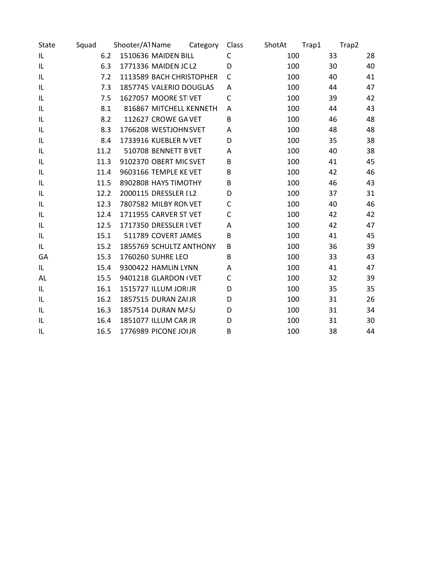| State | Squad | Shooter/A1Name           | Category | Class | ShotAt | Trap1 | Trap2 |
|-------|-------|--------------------------|----------|-------|--------|-------|-------|
| IL    | 6.2   | 1510636 MAIDEN BILL      |          | C     | 100    | 33    | 28    |
| IL    | 6.3   | 1771336 MAIDEN JC L2     |          | D     | 100    | 30    | 40    |
| IL    | 7.2   | 1113589 BACH CHRISTOPHER |          | C     | 100    | 40    | 41    |
| IL    | 7.3   | 1857745 VALERIO DOUGLAS  |          | A     | 100    | 44    | 47    |
| IL    | 7.5   | 1627057 MOORE ST VET     |          | C     | 100    | 39    | 42    |
| IL    | 8.1   | 816867 MITCHELL KENNETH  |          | A     | 100    | 44    | 43    |
| IL    | 8.2   | 112627 CROWE GA VET      |          | B     | 100    | 46    | 48    |
| IL    | 8.3   | 1766208 WESTJOHN SVET    |          | Α     | 100    | 48    | 48    |
| IL    | 8.4   | 1733916 KUEBLER N VET    |          | D     | 100    | 35    | 38    |
| IL    | 11.2  | 510708 BENNETT BVET      |          | Α     | 100    | 40    | 38    |
| IL    | 11.3  | 9102370 OBERT MIC SVET   |          | В     | 100    | 41    | 45    |
| IL    | 11.4  | 9603166 TEMPLE KE VET    |          | В     | 100    | 42    | 46    |
| IL    | 11.5  | 8902808 HAYS TIMOTHY     |          | B     | 100    | 46    | 43    |
| IL    | 12.2  | 2000115 DRESSLER I L2    |          | D     | 100    | 37    | 31    |
| IL    | 12.3  | 7807582 MILBY RON VET    |          | C     | 100    | 40    | 46    |
| IL    | 12.4  | 1711955 CARVER ST VET    |          | C     | 100    | 42    | 42    |
| IL    | 12.5  | 1717350 DRESSLER I VET   |          | А     | 100    | 42    | 47    |
| IL    | 15.1  | 511789 COVERT JAMES      |          | B     | 100    | 41    | 45    |
| IL    | 15.2  | 1855769 SCHULTZ ANTHONY  |          | B     | 100    | 36    | 39    |
| GA    | 15.3  | 1760260 SUHRE LEO        |          | B     | 100    | 33    | 43    |
| IL    | 15.4  | 9300422 HAMLIN LYNN      |          | A     | 100    | 41    | 47    |
| AL.   | 15.5  | 9401218 GLARDON I VET    |          | С     | 100    | 32    | 39    |
| IL    | 16.1  | 1515727 ILLUM JORIJR     |          | D     | 100    | 35    | 35    |
| IL    | 16.2  | 1857515 DURAN ZAIJR      |          | D     | 100    | 31    | 26    |
| IL    | 16.3  | 1857514 DURAN M/SJ       |          | D     | 100    | 31    | 34    |
| IL    | 16.4  | 1851077 ILLUM CAR JR     |          | D     | 100    | 31    | 30    |
| IL    | 16.5  | 1776989 PICONE JOI JR    |          | B     | 100    | 38    | 44    |